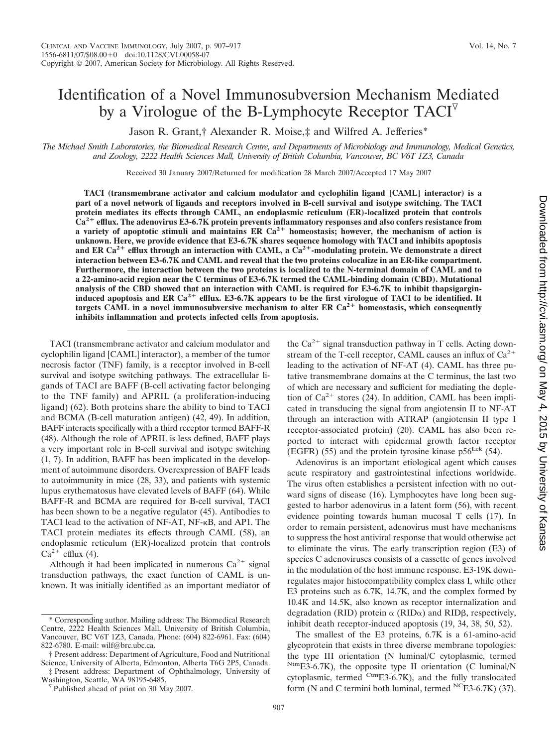# Identification of a Novel Immunosubversion Mechanism Mediated by a Virologue of the B-Lymphocyte Receptor  $TACI^{\nabla}$

Jason R. Grant,† Alexander R. Moise,‡ and Wilfred A. Jefferies\*

*The Michael Smith Laboratories, the Biomedical Research Centre, and Departments of Microbiology and Immunology, Medical Genetics, and Zoology, 2222 Health Sciences Mall, University of British Columbia, Vancouver, BC V6T 1Z3, Canada*

Received 30 January 2007/Returned for modification 28 March 2007/Accepted 17 May 2007

**TACI (transmembrane activator and calcium modulator and cyclophilin ligand [CAML] interactor) is a part of a novel network of ligands and receptors involved in B-cell survival and isotype switching. The TACI protein mediates its effects through CAML, an endoplasmic reticulum (ER)-localized protein that controls Ca2 efflux. The adenovirus E3-6.7K protein prevents inflammatory responses and also confers resistance from a** variety of apoptotic stimuli and maintains ER  $Ca^{2+}$  homeostasis; however, the mechanism of action is **unknown. Here, we provide evidence that E3-6.7K shares sequence homology with TACI and inhibits apoptosis** and ER Ca<sup>2+</sup> efflux through an interaction with CAML, a  $Ca^{2+}$ -modulating protein. We demonstrate a direct **interaction between E3-6.7K and CAML and reveal that the two proteins colocalize in an ER-like compartment. Furthermore, the interaction between the two proteins is localized to the N-terminal domain of CAML and to a 22-amino-acid region near the C terminus of E3-6.7K termed the CAML-binding domain (CBD). Mutational analysis of the CBD showed that an interaction with CAML is required for E3-6.7K to inhibit thapsigargin**induced apoptosis and ER Ca<sup>2+</sup> efflux. E3-6.7K appears to be the first virologue of TACI to be identified. It targets CAML in a novel immunosubversive mechanism to alter ER  $Ca<sup>2+</sup>$  homeostasis, which consequently **inhibits inflammation and protects infected cells from apoptosis.**

TACI (transmembrane activator and calcium modulator and cyclophilin ligand [CAML] interactor), a member of the tumor necrosis factor (TNF) family, is a receptor involved in B-cell survival and isotype switching pathways. The extracellular ligands of TACI are BAFF (B-cell activating factor belonging to the TNF family) and APRIL (a proliferation-inducing ligand) (62). Both proteins share the ability to bind to TACI and BCMA (B-cell maturation antigen) (42, 49). In addition, BAFF interacts specifically with a third receptor termed BAFF-R (48). Although the role of APRIL is less defined, BAFF plays a very important role in B-cell survival and isotype switching (1, 7). In addition, BAFF has been implicated in the development of autoimmune disorders. Overexpression of BAFF leads to autoimmunity in mice (28, 33), and patients with systemic lupus erythematosus have elevated levels of BAFF (64). While BAFF-R and BCMA are required for B-cell survival, TACI has been shown to be a negative regulator (45). Antibodies to TACI lead to the activation of NF-AT, NF- $\kappa$ B, and AP1. The TACI protein mediates its effects through CAML (58), an endoplasmic reticulum (ER)-localized protein that controls  $Ca^{2+}$  efflux (4).

Although it had been implicated in numerous  $Ca^{2+}$  signal transduction pathways, the exact function of CAML is unknown. It was initially identified as an important mediator of

‡ Present address: Department of Ophthalmology, University of

the  $Ca^{2+}$  signal transduction pathway in T cells. Acting downstream of the T-cell receptor, CAML causes an influx of  $Ca^{2+}$ leading to the activation of NF-AT (4). CAML has three putative transmembrane domains at the C terminus, the last two of which are necessary and sufficient for mediating the depletion of  $Ca^{2+}$  stores (24). In addition, CAML has been implicated in transducing the signal from angiotensin II to NF-AT through an interaction with ATRAP (angiotensin II type I receptor-associated protein) (20). CAML has also been reported to interact with epidermal growth factor receptor (EGFR) (55) and the protein tyrosine kinase  $p56^{\text{Lck}}$  (54).

Adenovirus is an important etiological agent which causes acute respiratory and gastrointestinal infections worldwide. The virus often establishes a persistent infection with no outward signs of disease (16). Lymphocytes have long been suggested to harbor adenovirus in a latent form (56), with recent evidence pointing towards human mucosal T cells (17). In order to remain persistent, adenovirus must have mechanisms to suppress the host antiviral response that would otherwise act to eliminate the virus. The early transcription region (E3) of species C adenoviruses consists of a cassette of genes involved in the modulation of the host immune response. E3-19K downregulates major histocompatibility complex class I, while other E3 proteins such as 6.7K, 14.7K, and the complex formed by 10.4K and 14.5K, also known as receptor internalization and degradation (RID) protein  $\alpha$  (RID $\alpha$ ) and RID $\beta$ , respectively, inhibit death receptor-induced apoptosis (19, 34, 38, 50, 52).

The smallest of the E3 proteins, 6.7K is a 61-amino-acid glycoprotein that exists in three diverse membrane topologies: the type III orientation (N luminal/C cytoplasmic, termed NtmE3-6.7K), the opposite type II orientation (C luminal/N cytoplasmic, termed CtmE3-6.7K), and the fully translocated form (N and C termini both luminal, termed  ${}^{NC}E3-6.7K$ ) (37).

<sup>\*</sup> Corresponding author. Mailing address: The Biomedical Research Centre, 2222 Health Sciences Mall, University of British Columbia, Vancouver, BC V6T 1Z3, Canada. Phone: (604) 822-6961. Fax: (604) 822-6780. E-mail: wilf@brc.ubc.ca.

<sup>†</sup> Present address: Department of Agriculture, Food and Nutritional Science, University of Alberta, Edmonton, Alberta T6G 2P5, Canada.

V Published ahead of print on 30 May 2007.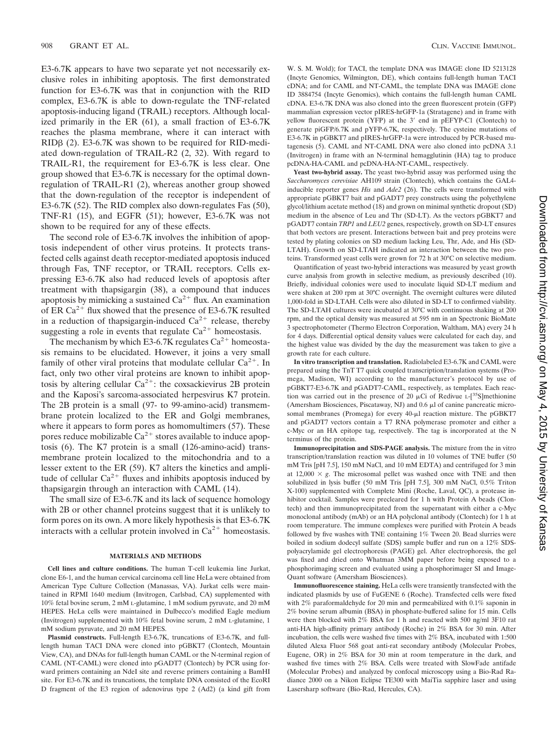E3-6.7K appears to have two separate yet not necessarily exclusive roles in inhibiting apoptosis. The first demonstrated function for E3-6.7K was that in conjunction with the RID complex, E3-6.7K is able to down-regulate the TNF-related apoptosis-inducing ligand (TRAIL) receptors. Although localized primarily in the ER (61), a small fraction of E3-6.7K reaches the plasma membrane, where it can interact with  $RID\beta$  (2). E3-6.7K was shown to be required for RID-mediated down-regulation of TRAIL-R2 (2, 32). With regard to TRAIL-R1, the requirement for E3-6.7K is less clear. One group showed that E3-6.7K is necessary for the optimal downregulation of TRAIL-R1 (2), whereas another group showed that the down-regulation of the receptor is independent of E3-6.7K (52). The RID complex also down-regulates Fas (50), TNF-R1 (15), and EGFR (51); however, E3-6.7K was not shown to be required for any of these effects.

The second role of E3-6.7K involves the inhibition of apoptosis independent of other virus proteins. It protects transfected cells against death receptor-mediated apoptosis induced through Fas, TNF receptor, or TRAIL receptors. Cells expressing E3-6.7K also had reduced levels of apoptosis after treatment with thapsigargin (38), a compound that induces apoptosis by mimicking a sustained  $Ca^{2+}$  flux. An examination of ER  $Ca^{2+}$  flux showed that the presence of E3-6.7K resulted in a reduction of thapsigargin-induced  $Ca^{2+}$  release, thereby suggesting a role in events that regulate  $Ca^{2+}$  homeostasis.

The mechanism by which E3-6.7K regulates  $Ca^{2+}$  homeostasis remains to be elucidated. However, it joins a very small family of other viral proteins that modulate cellular  $Ca^{2+}$ . In fact, only two other viral proteins are known to inhibit apoptosis by altering cellular  $Ca^{2+}$ : the coxsackievirus 2B protein and the Kaposi's sarcoma-associated herpesvirus K7 protein. The 2B protein is a small (97- to 99-amino-acid) transmembrane protein localized to the ER and Golgi membranes, where it appears to form pores as homomultimers (57). These pores reduce mobilizable  $Ca^{2+}$  stores available to induce apoptosis (6). The K7 protein is a small (126-amino-acid) transmembrane protein localized to the mitochondria and to a lesser extent to the ER (59). K7 alters the kinetics and amplitude of cellular  $Ca^{2+}$  fluxes and inhibits apoptosis induced by thapsigargin through an interaction with CAML (14).

The small size of E3-6.7K and its lack of sequence homology with 2B or other channel proteins suggest that it is unlikely to form pores on its own. A more likely hypothesis is that E3-6.7K interacts with a cellular protein involved in  $Ca^{2+}$  homeostasis.

## **MATERIALS AND METHODS**

**Cell lines and culture conditions.** The human T-cell leukemia line Jurkat, clone E6-1, and the human cervical carcinoma cell line HeLa were obtained from American Type Culture Collection (Manassas, VA). Jurkat cells were maintained in RPMI 1640 medium (Invitrogen, Carlsbad, CA) supplemented with 10% fetal bovine serum, 2 mM L-glutamine, 1 mM sodium pyruvate, and 20 mM HEPES. HeLa cells were maintained in Dulbecco's modified Eagle medium (Invitrogen) supplemented with 10% fetal bovine serum, 2 mM L-glutamine, 1 mM sodium pyruvate, and 20 mM HEPES.

**Plasmid constructs.** Full-length E3-6.7K, truncations of E3-6.7K, and fulllength human TACI DNA were cloned into pGBKT7 (Clontech, Mountain View, CA), and DNAs for full-length human CAML or the N-terminal region of CAML (NT-CAML) were cloned into pGADT7 (Clontech) by PCR using forward primers containing an NdeI site and reverse primers containing a BamHI site. For E3-6.7K and its truncations, the template DNA consisted of the EcoRI D fragment of the E3 region of adenovirus type 2 (Ad2) (a kind gift from

W. S. M. Wold); for TACI, the template DNA was IMAGE clone ID 5213128 (Incyte Genomics, Wilmington, DE), which contains full-length human TACI cDNA; and for CAML and NT-CAML, the template DNA was IMAGE clone ID 3884754 (Incyte Genomics), which contains the full-length human CAML cDNA. E3-6.7K DNA was also cloned into the green fluorescent protein (GFP) mammalian expression vector pIRES-hrGFP-1a (Stratagene) and in frame with yellow fluorescent protein (YFP) at the 3' end in pEFYP-C1 (Clontech) to generate piGFP/6.7K and pYFP-6.7K, respectively. The cysteine mutations of E3-6.7K in pGBKT7 and pIRES-hrGFP-1a were introduced by PCR-based mutagenesis (5). CAML and NT-CAML DNA were also cloned into pcDNA 3.1 (Invitrogen) in frame with an N-terminal hemagglutinin (HA) tag to produce pcDNA-HA-CAML and pcDNA-HA-NT-CAML, respectively.

**Yeast two-hybrid assay.** The yeast two-hybrid assay was performed using the *Saccharomyces cerevisiae* AH109 strain (Clontech), which contains the GAL4 inducible reporter genes *His* and *Ade2* (26). The cells were transformed with appropriate pGBKT7 bait and pGADT7 prey constructs using the polyethylene glycol/lithium acetate method (18) and grown on minimal synthetic dropout (SD) medium in the absence of Leu and Thr (SD-LT). As the vectors pGBKT7 and pGADT7 contain *TRP1* and *LEU2* genes, respectively, growth on SD-LT ensures that both vectors are present. Interactions between bait and prey proteins were tested by plating colonies on SD medium lacking Leu, Thr, Ade, and His (SD-LTAH). Growth on SD-LTAH indicated an interaction between the two proteins. Transformed yeast cells were grown for 72 h at 30°C on selective medium.

Quantification of yeast two-hybrid interactions was measured by yeast growth curve analysis from growth in selective medium, as previously described (10). Briefly, individual colonies were used to inoculate liquid SD-LT medium and were shaken at 200 rpm at 30°C overnight. The overnight cultures were diluted 1,000-fold in SD-LTAH. Cells were also diluted in SD-LT to confirmed viability. The SD-LTAH cultures were incubated at 30°C with continuous shaking at 200 rpm, and the optical density was measured at 595 nm in an Spectronic BioMate 3 spectrophotometer (Thermo Electron Corporation, Waltham, MA) every 24 h for 4 days. Differential optical density values were calculated for each day, and the highest value was divided by the day the measurement was taken to give a growth rate for each culture.

**In vitro transcription and translation.** Radiolabeled E3-6.7K and CAML were prepared using the TnT T7 quick coupled transcription/translation systems (Promega, Madison, WI) according to the manufacturer's protocol by use of pGBKT7-E3-6.7K and pGADT7-CAML, respectively, as templates. Each reaction was carried out in the presence of 20  $\mu$ Ci of Redivue L-[35S]methionine (Amersham Biosciences, Piscataway, NJ) and  $0.6 \mu$ l of canine pancreatic microsomal membranes (Promega) for every 40-µl reaction mixture. The pGBKT7 and pGADT7 vectors contain a T7 RNA polymerase promoter and either a c-Myc or an HA epitope tag, respectively. The tag is incorporated at the N terminus of the protein.

**Immunoprecipitation and SDS-PAGE analysis.** The mixture from the in vitro transcription/translation reaction was diluted in 10 volumes of TNE buffer (50 mM Tris [pH 7.5], 150 mM NaCl, and 10 mM EDTA) and centrifuged for 3 min at  $12,000 \times g$ . The microsomal pellet was washed once with TNE and then solubilized in lysis buffer (50 mM Tris [pH 7.5], 300 mM NaCl, 0.5% Triton X-100) supplemented with Complete Mini (Roche, Laval, QC), a protease inhibitor cocktail. Samples were precleared for 1 h with Protein A beads (Clontech) and then immunoprecipitated from the supernatant with either a c-Myc monoclonal antibody (mAb) or an HA polyclonal antibody (Clontech) for 1 h at room temperature. The immune complexes were purified with Protein A beads followed by five washes with TNE containing 1% Tween 20. Bead slurries were boiled in sodium dodecyl sulfate (SDS) sample buffer and run on a 12% SDSpolyacrylamide gel electrophoresis (PAGE) gel. After electrophoresis, the gel was fixed and dried onto Whatman 3MM paper before being exposed to a phosphorimaging screen and evaluated using a phosphorimager SI and Image-Quant software (Amersham Biosciences).

**Immunofluorescence staining.** HeLa cells were transiently transfected with the indicated plasmids by use of FuGENE 6 (Roche). Transfected cells were fixed with 2% paraformaldehyde for 20 min and permeabilized with 0.1% saponin in 2% bovine serum albumin (BSA) in phosphate-buffered saline for 15 min. Cells were then blocked with 2% BSA for 1 h and reacted with 500 ng/ml 3F10 rat anti-HA high-affinity primary antibody (Roche) in 2% BSA for 30 min. After incubation, the cells were washed five times with 2% BSA, incubated with 1:500 diluted Alexa Fluor 568 goat anti-rat secondary antibody (Molecular Probes, Eugene, OR) in 2% BSA for 30 min at room temperature in the dark, and washed five times with 2% BSA. Cells were treated with SlowFade antifade (Molecular Probes) and analyzed by confocal microscopy using a Bio-Rad Radiance 2000 on a Nikon Eclipse TE300 with MaiTia sapphire laser and using Lasersharp software (Bio-Rad, Hercules, CA).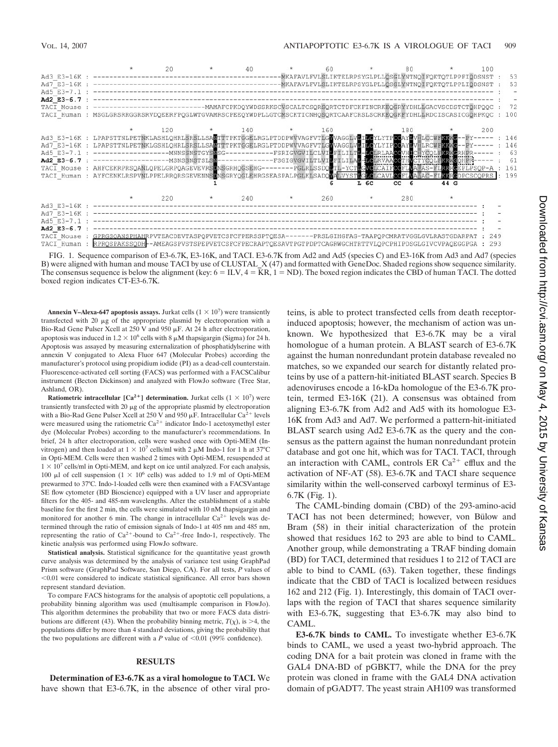

FIG. 1. Sequence comparison of E3-6.7K, E3-16K, and TACI. E3-6.7K from Ad2 and Ad5 (species C) and E3-16K from Ad3 and Ad7 (species B) were aligned with human and mouse TACI by use of CLUSTAL\_X (47) and formatted with GeneDoc. Shaded regions show sequence similarity. The consensus sequence is below the alignment (key:  $6 = ILV$ ,  $4 = KR$ ,  $1 = ND$ ). The boxed region indicates the CBD of human TACI. The dotted boxed region indicates CT-E3-6.7K.

**Annexin V–Alexa-647 apoptosis assays.** Jurkat cells  $(1 \times 10^7)$  were transiently transfected with 20  $\mu$ g of the appropriate plasmid by electroporation with a Bio-Rad Gene Pulser Xcell at  $250$  V and  $950 \mu$ F. At 24 h after electroporation, apoptosis was induced in  $1.2 \times 10^6$  cells with 8  $\mu$ M thapsigargin (Sigma) for 24 h. Apoptosis was assayed by measuring externalization of phosphatidylserine with annexin V conjugated to Alexa Fluor 647 (Molecular Probes) according the manufacturer's protocol using propidium iodide (PI) as a dead-cell counterstain. Fluorescence-activated cell sorting (FACS) was performed with a FACSCalibur instrument (Becton Dickinson) and analyzed with FlowJo software (Tree Star, Ashland, OR).

**Ratiometric intracellular**  $[Ca^{2+}]$  **determination. Jurkat cells**  $(1 \times 10^7)$  **were** transiently transfected with 20  $\mu$ g of the appropriate plasmid by electroporation with a Bio-Rad Gene Pulser Xcell at 250 V and 950  $\mu$ F. Intracellular Ca<sup>2+</sup> levels were measured using the ratiometric  $Ca^{2+}$  indicator Indo-1 acetoxymethyl ester dye (Molecular Probes) according to the manufacturer's recommendations. In brief, 24 h after electroporation, cells were washed once with Opti-MEM (Invitrogen) and then loaded at  $1 \times 10^7$  cells/ml with 2  $\mu$ M Indo-1 for 1 h at 37°C in Opti-MEM. Cells were then washed 2 times with Opti-MEM, resuspended at  $1 \times 10^7$  cells/ml in Opti-MEM, and kept on ice until analyzed. For each analysis, 100 µl of cell suspension ( $1 \times 10^6$  cells) was added to 1.9 ml of Opti-MEM prewarmed to 37°C. Indo-1-loaded cells were then examined with a FACSVantage SE flow cytometer (BD Bioscience) equipped with a UV laser and appropriate filters for the 405- and 485-nm wavelengths. After the establishment of a stable baseline for the first 2 min, the cells were simulated with 10 nM thapsigargin and monitored for another 6 min. The change in intracellular  $Ca^{2+}$  levels was determined through the ratio of emission signals of Indo-1 at 405 nm and 485 nm, representing the ratio of  $Ca^{2+}$ -bound to  $Ca^{2+}$ -free Indo-1, respectively. The kinetic analysis was performed using FlowJo software.

**Statistical analysis.** Statistical significance for the quantitative yeast growth curve analysis was determined by the analysis of variance test using GraphPad Prism software (GraphPad Software, San Diego, CA). For all tests, *P* values of  $<$ 0.01 were considered to indicate statistical significance. All error bars shown represent standard deviation.

To compare FACS histograms for the analysis of apoptotic cell populations, a probability binning algorithm was used (multisample comparison in FlowJo). This algorithm determines the probability that two or more FACS data distributions are different (43). When the probability binning metric,  $T(\chi)$ , is >4, the populations differ by more than 4 standard deviations, giving the probability that the two populations are different with a  $P$  value of  $\leq 0.01$  (99% confidence).

#### **RESULTS**

**Determination of E3-6.7K as a viral homologue to TACI.** We have shown that E3-6.7K, in the absence of other viral proteins, is able to protect transfected cells from death receptorinduced apoptosis; however, the mechanism of action was unknown. We hypothesized that E3-6.7K may be a viral homologue of a human protein. A BLAST search of E3-6.7K against the human nonredundant protein database revealed no matches, so we expanded our search for distantly related proteins by use of a pattern-hit-initiated BLAST search. Species B adenoviruses encode a 16-kDa homologue of the E3-6.7K protein, termed E3-16K (21). A consensus was obtained from aligning E3-6.7K from Ad2 and Ad5 with its homologue E3- 16K from Ad3 and Ad7. We performed a pattern-hit-initiated BLAST search using Ad2 E3-6.7K as the query and the consensus as the pattern against the human nonredundant protein database and got one hit, which was for TACI. TACI, through an interaction with CAML, controls ER  $Ca^{2+}$  efflux and the activation of NF-AT (58). E3-6.7K and TACI share sequence similarity within the well-conserved carboxyl terminus of E3- 6.7K (Fig. 1).

The CAML-binding domain (CBD) of the 293-amino-acid TACI has not been determined; however, von Bülow and Bram (58) in their initial characterization of the protein showed that residues 162 to 293 are able to bind to CAML. Another group, while demonstrating a TRAF binding domain (BD) for TACI, determined that residues 1 to 212 of TACI are able to bind to CAML (63). Taken together, these findings indicate that the CBD of TACI is localized between residues 162 and 212 (Fig. 1). Interestingly, this domain of TACI overlaps with the region of TACI that shares sequence similarity with E3-6.7K, suggesting that E3-6.7K may also bind to CAML.

**E3-6.7K binds to CAML.** To investigate whether E3-6.7K binds to CAML, we used a yeast two-hybrid approach. The coding DNA for a bait protein was cloned in frame with the GAL4 DNA-BD of pGBKT7, while the DNA for the prey protein was cloned in frame with the GAL4 DNA activation domain of pGADT7. The yeast strain AH109 was transformed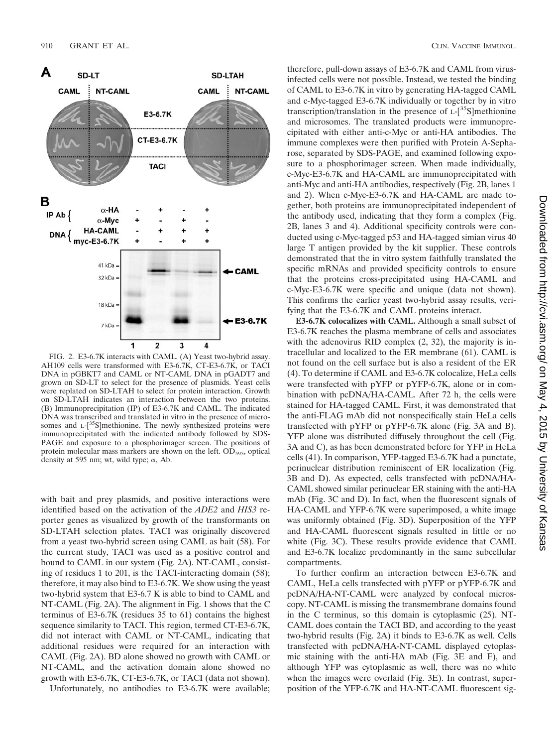

FIG. 2. E3-6.7K interacts with CAML. (A) Yeast two-hybrid assay. AH109 cells were transformed with E3-6.7K, CT-E3-6.7K, or TACI DNA in pGBKT7 and CAML or NT-CAML DNA in pGADT7 and grown on SD-LT to select for the presence of plasmids. Yeast cells were replated on SD-LTAH to select for protein interaction. Growth on SD-LTAH indicates an interaction between the two proteins. (B) Immunoprecipitation (IP) of E3-6.7K and CAML. The indicated DNA was transcribed and translated in vitro in the presence of microsomes and L-[<sup>35</sup>S]methionine. The newly synthesized proteins were immunoprecipitated with the indicated antibody followed by SDS-PAGE and exposure to a phosphorimager screen. The positions of protein molecular mass markers are shown on the left.  $OD_{595}$ , optical density at 595 nm; wt, wild type;  $\alpha$ , Ab.

with bait and prey plasmids, and positive interactions were identified based on the activation of the *ADE2* and *HIS3* reporter genes as visualized by growth of the transformants on SD-LTAH selection plates. TACI was originally discovered from a yeast two-hybrid screen using CAML as bait (58). For the current study, TACI was used as a positive control and bound to CAML in our system (Fig. 2A). NT-CAML, consisting of residues 1 to 201, is the TACI-interacting domain (58); therefore, it may also bind to E3-6.7K. We show using the yeast two-hybrid system that E3-6.7 K is able to bind to CAML and NT-CAML (Fig. 2A). The alignment in Fig. 1 shows that the C terminus of E3-6.7K (residues 35 to 61) contains the highest sequence similarity to TACI. This region, termed CT-E3-6.7K, did not interact with CAML or NT-CAML, indicating that additional residues were required for an interaction with CAML (Fig. 2A). BD alone showed no growth with CAML or NT-CAML, and the activation domain alone showed no growth with E3-6.7K, CT-E3-6.7K, or TACI (data not shown). Unfortunately, no antibodies to E3-6.7K were available; therefore, pull-down assays of E3-6.7K and CAML from virusinfected cells were not possible. Instead, we tested the binding of CAML to E3-6.7K in vitro by generating HA-tagged CAML and c-Myc-tagged E3-6.7K individually or together by in vitro transcription/translation in the presence of  $L$ -[<sup>35</sup>S]methionine and microsomes. The translated products were immunoprecipitated with either anti-c-Myc or anti-HA antibodies. The immune complexes were then purified with Protein A-Sepharose, separated by SDS-PAGE, and examined following exposure to a phosphorimager screen. When made individually, c-Myc-E3-6.7K and HA-CAML are immunoprecipitated with anti-Myc and anti-HA antibodies, respectively (Fig. 2B, lanes 1 and 2). When c-Myc-E3-6.7K and HA-CAML are made together, both proteins are immunoprecipitated independent of the antibody used, indicating that they form a complex (Fig. 2B, lanes 3 and 4). Additional specificity controls were conducted using c-Myc-tagged p53 and HA-tagged simian virus 40 large T antigen provided by the kit supplier. These controls demonstrated that the in vitro system faithfully translated the specific mRNAs and provided specificity controls to ensure that the proteins cross-precipitated using HA-CAML and c-Myc-E3-6.7K were specific and unique (data not shown). This confirms the earlier yeast two-hybrid assay results, verifying that the E3-6.7K and CAML proteins interact.

**E3-6.7K colocalizes with CAML.** Although a small subset of E3-6.7K reaches the plasma membrane of cells and associates with the adenovirus RID complex (2, 32), the majority is intracellular and localized to the ER membrane (61). CAML is not found on the cell surface but is also a resident of the ER (4). To determine if CAML and E3-6.7K colocalize, HeLa cells were transfected with pYFP or pYFP-6.7K, alone or in combination with pcDNA/HA-CAML. After 72 h, the cells were stained for HA-tagged CAML. First, it was demonstrated that the anti-FLAG mAb did not nonspecifically stain HeLa cells transfected with pYFP or pYFP-6.7K alone (Fig. 3A and B). YFP alone was distributed diffusely throughout the cell (Fig. 3A and C), as has been demonstrated before for YFP in HeLa cells (41). In comparison, YFP-tagged E3-6.7K had a punctate, perinuclear distribution reminiscent of ER localization (Fig. 3B and D). As expected, cells transfected with pcDNA/HA-CAML showed similar perinuclear ER staining with the anti-HA mAb (Fig. 3C and D). In fact, when the fluorescent signals of HA-CAML and YFP-6.7K were superimposed, a white image was uniformly obtained (Fig. 3D). Superposition of the YFP and HA-CAML fluorescent signals resulted in little or no white (Fig. 3C). These results provide evidence that CAML and E3-6.7K localize predominantly in the same subcellular compartments.

To further confirm an interaction between E3-6.7K and CAML, HeLa cells transfected with pYFP or pYFP-6.7K and pcDNA/HA-NT-CAML were analyzed by confocal microscopy. NT-CAML is missing the transmembrane domains found in the C terminus, so this domain is cytoplasmic (25). NT-CAML does contain the TACI BD, and according to the yeast two-hybrid results (Fig. 2A) it binds to E3-6.7K as well. Cells transfected with pcDNA/HA-NT-CAML displayed cytoplasmic staining with the anti-HA mAb (Fig. 3E and F), and although YFP was cytoplasmic as well, there was no white when the images were overlaid (Fig. 3E). In contrast, superposition of the YFP-6.7K and HA-NT-CAML fluorescent sig-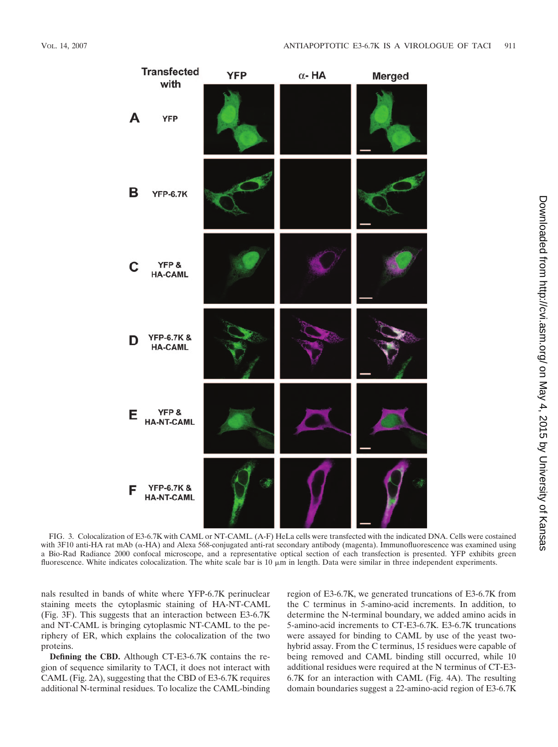

FIG. 3. Colocalization of E3-6.7K with CAML or NT-CAML. (A-F) HeLa cells were transfected with the indicated DNA. Cells were costained with 3F10 anti-HA rat mAb ( $\alpha$ -HA) and Alexa 568-conjugated anti-rat secondary antibody (magenta). Immunofluorescence was examined using a Bio-Rad Radiance 2000 confocal microscope, and a representative optical section of each transfection is presented. YFP exhibits green fluorescence. White indicates colocalization. The white scale bar is  $10 \mu m$  in length. Data were similar in three independent experiments.

nals resulted in bands of white where YFP-6.7K perinuclear staining meets the cytoplasmic staining of HA-NT-CAML (Fig. 3F). This suggests that an interaction between E3-6.7K and NT-CAML is bringing cytoplasmic NT-CAML to the periphery of ER, which explains the colocalization of the two proteins.

**Defining the CBD.** Although CT-E3-6.7K contains the region of sequence similarity to TACI, it does not interact with CAML (Fig. 2A), suggesting that the CBD of E3-6.7K requires additional N-terminal residues. To localize the CAML-binding

region of E3-6.7K, we generated truncations of E3-6.7K from the C terminus in 5-amino-acid increments. In addition, to determine the N-terminal boundary, we added amino acids in 5-amino-acid increments to CT-E3-6.7K. E3-6.7K truncations were assayed for binding to CAML by use of the yeast twohybrid assay. From the C terminus, 15 residues were capable of being removed and CAML binding still occurred, while 10 additional residues were required at the N terminus of CT-E3- 6.7K for an interaction with CAML (Fig. 4A). The resulting domain boundaries suggest a 22-amino-acid region of E3-6.7K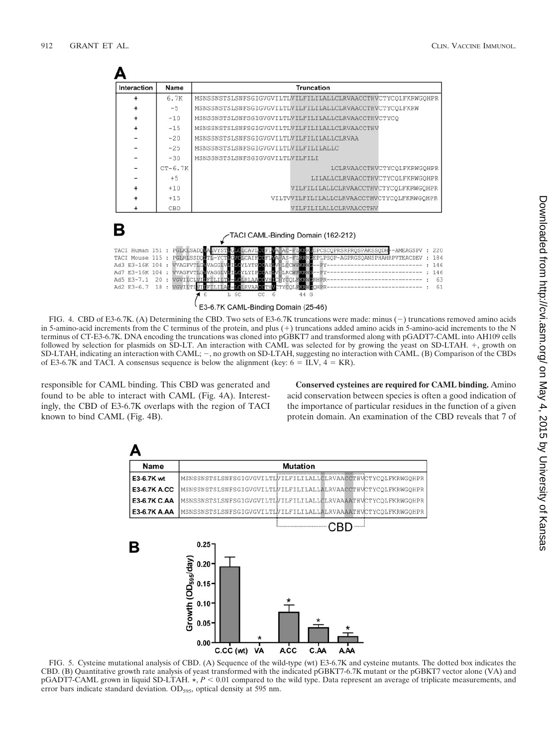| Interaction                          | Name      | <b>Truncation</b>                                                                                                                                                                                                                              |
|--------------------------------------|-----------|------------------------------------------------------------------------------------------------------------------------------------------------------------------------------------------------------------------------------------------------|
|                                      | 6.7K      | MSNSSNSTSLSNFSGIGVGVILTLVILFILILALLCLRVAACCTHVCTYCOLFKRWGOHPR                                                                                                                                                                                  |
|                                      | $-5$      | MSNSSNSTSLSNFSGIGVGVILTLVILFILILALLCLRVAACCTHVCTYCOLFKRW                                                                                                                                                                                       |
|                                      | $-10$     | MSNSSNSTSLSNFSGIGVGVILTLVILFILILALLCLRVAACCTHVCTYCO                                                                                                                                                                                            |
| $\ddot{}$                            | $-15$     | MSNSSNSTSLSNFSGIGVGVILTIVILFILILALLCLRVAACCTHV                                                                                                                                                                                                 |
|                                      | $-20$     | MSNSSNSTSLSNFSGIGVGVILTLVILFILILALLCLRVAA                                                                                                                                                                                                      |
|                                      | $-25$     | MSNSSNSTSLSNFSGIGVGVILTLVILFILILALLC                                                                                                                                                                                                           |
|                                      | $-30$     | MSNSSNSTSLSNFSGIGVGVILTLVILFILI                                                                                                                                                                                                                |
|                                      | $CT-6.7K$ | LCLRVAACCTHVCTYCOLFKRWGOHPR                                                                                                                                                                                                                    |
|                                      | $+5$      | LILALLCLRVAACCTHVCTYCOLFKRWGOHPR                                                                                                                                                                                                               |
|                                      | $+10$     | VILFILILALLCLRVAACCTHVCTYCOLFKRWGOHPR                                                                                                                                                                                                          |
|                                      | $+15$     | VILTVVILFILILALLCLRVAACCTHVCTYCQLFKRWGQHPR                                                                                                                                                                                                     |
|                                      | CBD       | VILFILILALLCLRVAACCTHV                                                                                                                                                                                                                         |
|                                      |           | TACI CAML-Binding Domain (162-212)                                                                                                                                                                                                             |
| TACI Human 151 :<br>TACI Mouse 115 : |           | PGLKLSADOWALVYSTLGLCLCAVLCCFLWAWAC-FLKKRGDPCSCOPRSRPROSPAKSSODH--AMEAGSPV<br>220<br>PCLRLSSDOMTL-YCTLGVCLCAIFCCFLVALAS-FLRERGEPLPSOP-AGPRGSOANSPHAHRPVTEACDEV<br>184<br>Ad3 E3-16K 104 : WVAGFVTLGWVAGGLVDILGYLYTPGCAYLVHLCCWFKKWG--PY-<br>146 |

FIG. 4. CBD of E3-6.7K. (A) Determining the CBD. Two sets of E3-6.7K truncations were made: minus (-) truncations removed amino acids in 5-amino-acid increments from the C terminus of the protein, and plus  $(+)$  truncations added amino acids in 5-amino-acid increments to the N terminus of CT-E3-6.7K. DNA encoding the truncations was cloned into pGBKT7 and transformed along with pGADT7-CAML into AH109 cells followed by selection for plasmids on SD-LT. An interaction with CAML was selected for by growing the yeast on SD-LTAH. +, growth on SD-LTAH, indicating an interaction with CAML;  $-$ , no growth on SD-LTAH, suggesting no interaction with CAML. (B) Comparison of the CBDs of E3-6.7K and TACI. A consensus sequence is below the alignment (key:  $6 = ILV$ ,  $4 = KR$ ).

responsible for CAML binding. This CBD was generated and found to be able to interact with CAML (Fig. 4A). Interestingly, the CBD of E3-6.7K overlaps with the region of TACI known to bind CAML (Fig. 4B).

**Conserved cysteines are required for CAML binding.** Amino acid conservation between species is often a good indication of the importance of particular residues in the function of a given protein domain. An examination of the CBD reveals that 7 of



FIG. 5. Cysteine mutational analysis of CBD. (A) Sequence of the wild-type (wt) E3-6.7K and cysteine mutants. The dotted box indicates the CBD. (B) Quantitative growth rate analysis of yeast transformed with the indicated pGBKT7-6.7K mutant or the pGBKT7 vector alone (VA) and pGADT7-CAML grown in liquid SD-LTAH.  $\star$ ,  $P < 0.01$  compared to the wild type. Data represent an average of triplicate measurements, and error bars indicate standard deviation.  $OD<sub>595</sub>$ , optical density at 595 nm.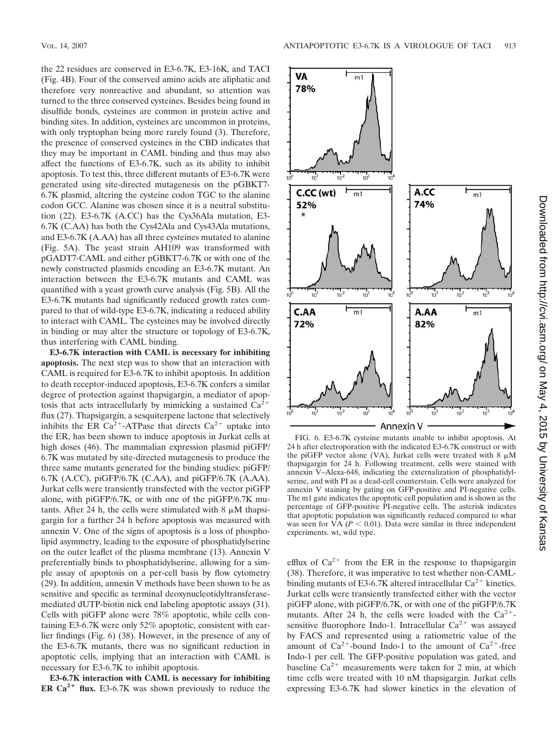the 22 residues are conserved in E3-6.7K, E3-16K, and TACI (Fig. 4B). Four of the conserved amino acids are aliphatic and therefore very nonreactive and abundant, so attention was turned to the three conserved cysteines. Besides being found in disulfide bonds, cysteines are common in protein active and binding sites. In addition, cysteines are uncommon in proteins, with only tryptophan being more rarely found  $(3)$ . Therefore, the presence of conserved cysteines in the CBD indicates that they may be important in CAML binding and thus may also affect the functions of E3-6.7K, such as its ability to inhibit apoptosis. To test this, three different mutants of E3-6.7K were generated using site-directed mutagenesis on the pGBKT7- 6.7K plasmid, altering the cysteine codon TGC to the alanine codon GCC. Alanine was chosen since it is a neutral substitution (22). E3-6.7K (A.CC) has the Cys36Ala mutation, E3- 6.7K (C.AA) has both the Cys42Ala and Cys43Ala mutations, and E3-6.7K (A.AA) has all three cysteines mutated to alanine (Fig. 5A). The yeast strain AH109 was transformed with pGADT7-CAML and either pGBKT7-6.7K or with one of the newly constructed plasmids encoding an E3-6.7K mutant. An interaction between the E3-6.7K mutants and CAML was quantified with a yeast growth curve analysis (Fig. 5B). All the E3-6.7K mutants had significantly reduced growth rates compared to that of wild-type E3-6.7K, indicating a reduced ability to interact with CAML. The cysteines may be involved directly in binding or may alter the structure or topology of E3-6.7K, thus interfering with CAML binding.

**E3-6.7K interaction with CAML is necessary for inhibiting apoptosis.** The next step was to show that an interaction with CAML is required for E3-6.7K to inhibit apoptosis. In addition to death receptor-induced apoptosis, E3-6.7K confers a similar degree of protection against thapsigargin, a mediator of apoptosis that acts intracellularly by mimicking a sustained  $Ca^{2+}$ flux (27). Thapsigargin, a sesquiterpene lactone that selectively inhibits the ER Ca<sup>2+</sup>-ATPase that directs Ca<sup>2+</sup> uptake into the ER, has been shown to induce apoptosis in Jurkat cells at high doses (46). The mammalian expression plasmid piGFP/ 6.7K was mutated by site-directed mutagenesis to produce the three same mutants generated for the binding studies: piGFP/ 6.7K (A.CC), piGFP/6.7K (C.AA), and piGFP/6.7K (A.AA). Jurkat cells were transiently transfected with the vector piGFP alone, with piGFP/6.7K, or with one of the piGFP/6.7K mutants. After 24 h, the cells were stimulated with  $8 \mu M$  thapsigargin for a further 24 h before apoptosis was measured with annexin V. One of the signs of apoptosis is a loss of phospholipid asymmetry, leading to the exposure of phosphatidylserine on the outer leaflet of the plasma membrane (13). Annexin V preferentially binds to phosphatidylserine, allowing for a simple assay of apoptosis on a per-cell basis by flow cytometry (29). In addition, annexin V methods have been shown to be as sensitive and specific as terminal deoxynucleotidyltransferasemediated dUTP-biotin nick end labeling apoptotic assays (31). Cells with piGFP alone were 78% apoptotic, while cells containing E3-6.7K were only 52% apoptotic, consistent with earlier findings (Fig. 6) (38). However, in the presence of any of the E3-6.7K mutants, there was no significant reduction in apoptotic cells, implying that an interaction with CAML is necessary for E3-6.7K to inhibit apoptosis.

**E3-6.7K interaction with CAML is necessary for inhibiting ER Ca<sup>2+</sup>** flux. E3-6.7K was shown previously to reduce the



FIG. 6. E3-6.7K cysteine mutants unable to inhibit apoptosis. At 24 h after electroporation with the indicated E3-6.7K construct or with the piGFP vector alone (VA), Jurkat cells were treated with 8  $\mu$ M thapsigargin for 24 h. Following treatment, cells were stained with annexin V–Alexa-648, indicating the externalization of phosphatidylserine, and with PI as a dead-cell counterstain. Cells were analyzed for annexin V staining by gating on GFP-positive and PI-negative cells. The m1 gate indicates the apoptotic cell population and is shown as the percentage of GFP-positive PI-negative cells. The asterisk indicates that apoptotic population was significantly reduced compared to what was seen for VA  $(P < 0.01)$ . Data were similar in three independent experiments. wt, wild type.

efflux of  $Ca^{2+}$  from the ER in the response to thapsigargin (38). Therefore, it was imperative to test whether non-CAMLbinding mutants of E3-6.7K altered intracellular  $Ca^{2+}$  kinetics. Jurkat cells were transiently transfected either with the vector piGFP alone, with piGFP/6.7K, or with one of the piGFP/6.7K mutants. After 24 h, the cells were loaded with the  $Ca^{2+}$ sensitive fluorophore Indo-1. Intracellular  $Ca^{2+}$  was assayed by FACS and represented using a ratiometric value of the amount of  $Ca^{2+}$ -bound Indo-1 to the amount of  $Ca^{2+}$ -free Indo-1 per cell. The GFP-positive population was gated, and baseline  $Ca^{2+}$  measurements were taken for 2 min, at which time cells were treated with 10 nM thapsigargin. Jurkat cells expressing E3-6.7K had slower kinetics in the elevation of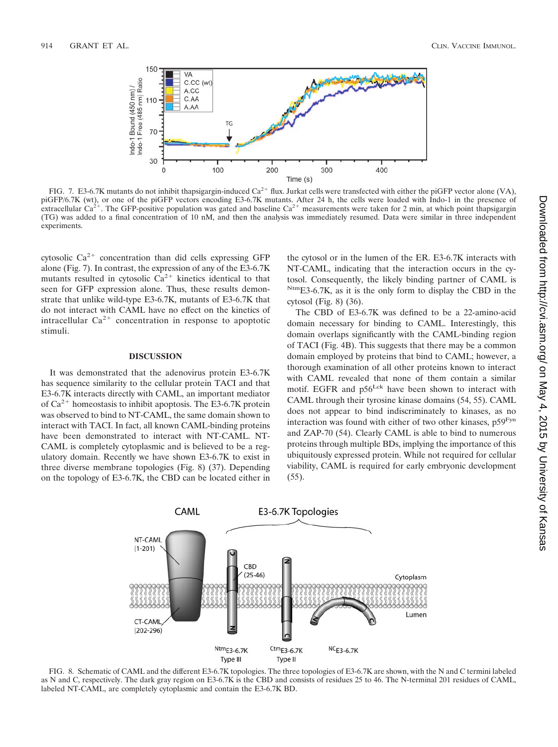

FIG. 7. E3-6.7K mutants do not inhibit thapsigargin-induced Ca<sup>2+</sup> flux. Jurkat cells were transfected with either the piGFP vector alone (VA), piGFP/6.7K (wt), or one of the piGFP vectors encoding E3-6.7K mutants. After 24 h, the cells were loaded with Indo-1 in the presence of extracellular Ca<sup>2+</sup>. The GFP-positive population was gated and baseline Ca<sup>2+</sup> measu (TG) was added to a final concentration of 10 nM, and then the analysis was immediately resumed. Data were similar in three independent experiments.

cytosolic  $Ca^{2+}$  concentration than did cells expressing GFP alone (Fig. 7). In contrast, the expression of any of the E3-6.7K mutants resulted in cytosolic  $Ca^{2+}$  kinetics identical to that seen for GFP expression alone. Thus, these results demonstrate that unlike wild-type E3-6.7K, mutants of E3-6.7K that do not interact with CAML have no effect on the kinetics of intracellular  $Ca^{2+}$  concentration in response to apoptotic stimuli.

# **DISCUSSION**

It was demonstrated that the adenovirus protein E3-6.7K has sequence similarity to the cellular protein TACI and that E3-6.7K interacts directly with CAML, an important mediator of  $Ca^{2+}$  homeostasis to inhibit apoptosis. The E3-6.7K protein was observed to bind to NT-CAML, the same domain shown to interact with TACI. In fact, all known CAML-binding proteins have been demonstrated to interact with NT-CAML. NT-CAML is completely cytoplasmic and is believed to be a regulatory domain. Recently we have shown E3-6.7K to exist in three diverse membrane topologies (Fig. 8) (37). Depending on the topology of E3-6.7K, the CBD can be located either in the cytosol or in the lumen of the ER. E3-6.7K interacts with NT-CAML, indicating that the interaction occurs in the cytosol. Consequently, the likely binding partner of CAML is NtmE3-6.7K, as it is the only form to display the CBD in the cytosol (Fig. 8) (36).

The CBD of E3-6.7K was defined to be a 22-amino-acid domain necessary for binding to CAML. Interestingly, this domain overlaps significantly with the CAML-binding region of TACI (Fig. 4B). This suggests that there may be a common domain employed by proteins that bind to CAML; however, a thorough examination of all other proteins known to interact with CAML revealed that none of them contain a similar motif. EGFR and p56<sup>Lck</sup> have been shown to interact with CAML through their tyrosine kinase domains (54, 55). CAML does not appear to bind indiscriminately to kinases, as no interaction was found with either of two other kinases, p59Fyn and ZAP-70 (54). Clearly CAML is able to bind to numerous proteins through multiple BDs, implying the importance of this ubiquitously expressed protein. While not required for cellular viability, CAML is required for early embryonic development (55).



FIG. 8. Schematic of CAML and the different E3-6.7K topologies. The three topologies of E3-6.7K are shown, with the N and C termini labeled as N and C, respectively. The dark gray region on E3-6.7K is the CBD and consists of residues 25 to 46. The N-terminal 201 residues of CAML, labeled NT-CAML, are completely cytoplasmic and contain the E3-6.7K BD.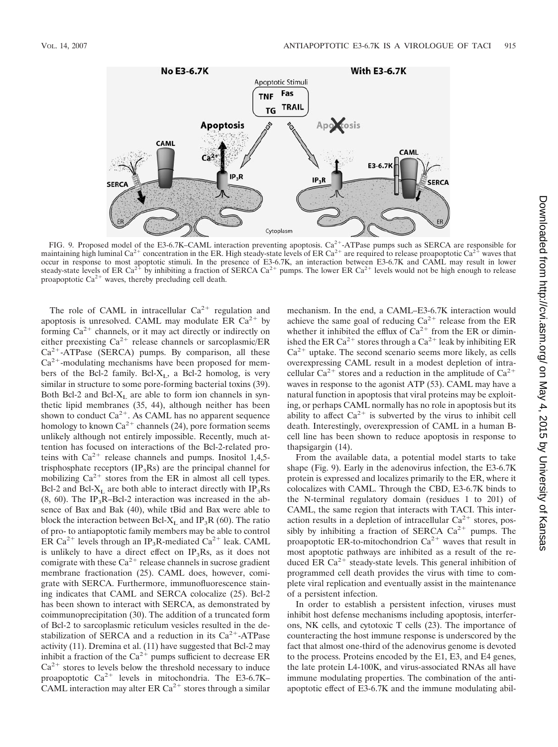

FIG. 9. Proposed model of the E3-6.7K–CAML interaction preventing apoptosis.  $Ca^{2+}$ -ATPase pumps such as SERCA are responsible for maintaining high luminal Ca<sup>2+</sup> concentration in the ER. High steady-state levels of ER Ca<sup>2+</sup> are required to release proapoptotic Ca<sup>2+</sup> waves that occur in response to most apoptotic stimuli. In the presence of E3-6.7K, an interaction between E3-6.7K and CAML may result in lower steady-state levels of ER Ca<sup>2+</sup> by inhibiting a fraction of SERCA Ca<sup>2+</sup> pumps. The lower ER Ca<sup>2+</sup> levels would not be high enough to release proapoptotic  $Ca^{2+}$  waves, thereby precluding cell death.

The role of CAML in intracellular  $Ca^{2+}$  regulation and apoptosis is unresolved. CAML may modulate ER  $Ca^{2+}$  by forming  $Ca^{2+}$  channels, or it may act directly or indirectly on either preexisting  $Ca^{2+}$  release channels or sarcoplasmic/ER  $Ca<sup>2+</sup>-ATPase$  (SERCA) pumps. By comparison, all these  $Ca<sup>2+</sup>$ -modulating mechanisms have been proposed for members of the Bcl-2 family. Bcl- $X_L$ , a Bcl-2 homolog, is very similar in structure to some pore-forming bacterial toxins (39). Both Bcl-2 and Bcl- $X_L$  are able to form ion channels in synthetic lipid membranes (35, 44), although neither has been shown to conduct  $Ca^{2+}$ . As CAML has no apparent sequence homology to known  $Ca^{2+}$  channels (24), pore formation seems unlikely although not entirely impossible. Recently, much attention has focused on interactions of the Bcl-2-related proteins with  $Ca^{2+}$  release channels and pumps. Inositol 1,4,5trisphosphate receptors  $(\text{IP}_3\text{Rs})$  are the principal channel for mobilizing  $Ca^{2+}$  stores from the ER in almost all cell types. Bcl-2 and Bcl- $X_L$  are both able to interact directly with IP<sub>3</sub>Rs  $(8, 60)$ . The IP<sub>3</sub>R–Bcl-2 interaction was increased in the absence of Bax and Bak (40), while tBid and Bax were able to block the interaction between Bcl- $X_L$  and IP<sub>3</sub>R (60). The ratio of pro- to antiapoptotic family members may be able to control ER Ca<sup>2+</sup> levels through an IP<sub>3</sub>R-mediated Ca<sup>2+</sup> leak. CAML is unlikely to have a direct effect on  $IP_3Rs$ , as it does not comigrate with these  $Ca^{2+}$  release channels in sucrose gradient membrane fractionation (25). CAML does, however, comigrate with SERCA. Furthermore, immunofluorescence staining indicates that CAML and SERCA colocalize (25). Bcl-2 has been shown to interact with SERCA, as demonstrated by coimmunoprecipitation (30). The addition of a truncated form of Bcl-2 to sarcoplasmic reticulum vesicles resulted in the destabilization of SERCA and a reduction in its  $Ca^{2+}-ATP$ ase activity (11). Dremina et al. (11) have suggested that Bcl-2 may inhibit a fraction of the  $Ca^{2+}$  pumps sufficient to decrease ER  $Ca<sup>2+</sup>$  stores to levels below the threshold necessary to induce proapoptotic  $Ca^{2+}$  levels in mitochondria. The E3-6.7K– CAML interaction may alter ER Ca<sup>2+</sup> stores through a similar

mechanism. In the end, a CAML–E3-6.7K interaction would achieve the same goal of reducing  $Ca^{2+}$  release from the ER whether it inhibited the efflux of  $Ca^{2+}$  from the ER or diminished the ER Ca<sup>2+</sup> stores through a Ca<sup>2+</sup> leak by inhibiting ER  $Ca<sup>2+</sup>$  uptake. The second scenario seems more likely, as cells overexpressing CAML result in a modest depletion of intracellular  $Ca^{2+}$  stores and a reduction in the amplitude of  $Ca^{2+}$ waves in response to the agonist ATP (53). CAML may have a natural function in apoptosis that viral proteins may be exploiting, or perhaps CAML normally has no role in apoptosis but its ability to affect  $Ca^{2+}$  is subverted by the virus to inhibit cell death. Interestingly, overexpression of CAML in a human Bcell line has been shown to reduce apoptosis in response to thapsigargin (14).

From the available data, a potential model starts to take shape (Fig. 9). Early in the adenovirus infection, the E3-6.7K protein is expressed and localizes primarily to the ER, where it colocalizes with CAML. Through the CBD, E3-6.7K binds to the N-terminal regulatory domain (residues 1 to 201) of CAML, the same region that interacts with TACI. This interaction results in a depletion of intracellular  $Ca^{2+}$  stores, possibly by inhibiting a fraction of SERCA  $Ca^{2+}$  pumps. The proapoptotic ER-to-mitochondrion  $Ca^{2+}$  waves that result in most apoptotic pathways are inhibited as a result of the reduced ER  $Ca^{2+}$  steady-state levels. This general inhibition of programmed cell death provides the virus with time to complete viral replication and eventually assist in the maintenance of a persistent infection.

In order to establish a persistent infection, viruses must inhibit host defense mechanisms including apoptosis, interferons, NK cells, and cytotoxic T cells (23). The importance of counteracting the host immune response is underscored by the fact that almost one-third of the adenovirus genome is devoted to the process. Proteins encoded by the E1, E3, and E4 genes, the late protein L4-100K, and virus-associated RNAs all have immune modulating properties. The combination of the antiapoptotic effect of E3-6.7K and the immune modulating abil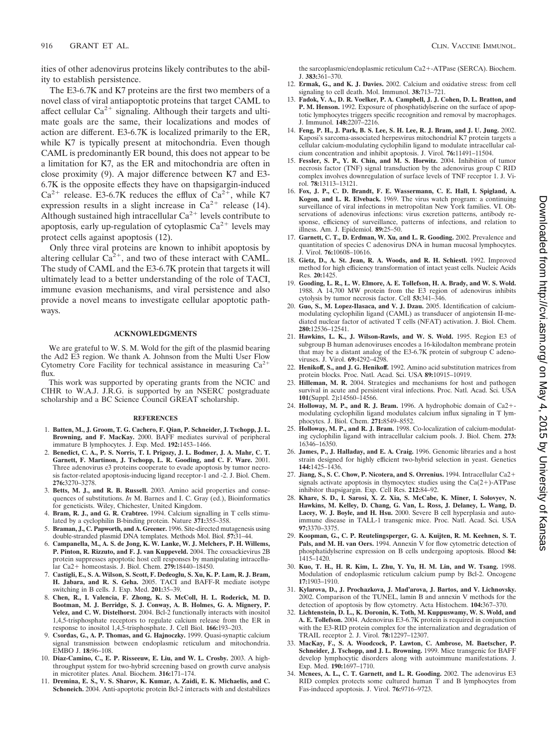916 GRANT ET AL. **CLIN. VACCINE IMMUNOL.** 

ities of other adenovirus proteins likely contributes to the ability to establish persistence.

The E3-6.7K and K7 proteins are the first two members of a novel class of viral antiapoptotic proteins that target CAML to affect cellular  $Ca^{2+}$  signaling. Although their targets and ultimate goals are the same, their localizations and modes of action are different. E3-6.7K is localized primarily to the ER, while K7 is typically present at mitochondria. Even though CAML is predominantly ER bound, this does not appear to be a limitation for K7, as the ER and mitochondria are often in close proximity (9). A major difference between K7 and E3- 6.7K is the opposite effects they have on thapsigargin-induced  $Ca^{2+}$  release. E3-6.7K reduces the efflux of  $Ca^{2+}$ , while K7 expression results in a slight increase in  $Ca^{2+}$  release (14). Although sustained high intracellular  $Ca^{2+}$  levels contribute to apoptosis, early up-regulation of cytoplasmic  $Ca^{2+}$  levels may protect cells against apoptosis (12).

Only three viral proteins are known to inhibit apoptosis by altering cellular  $Ca^{2+}$ , and two of these interact with CAML. The study of CAML and the E3-6.7K protein that targets it will ultimately lead to a better understanding of the role of TACI, immune evasion mechanisms, and viral persistence and also provide a novel means to investigate cellular apoptotic pathways.

### **ACKNOWLEDGMENTS**

We are grateful to W. S. M. Wold for the gift of the plasmid bearing the Ad2 E3 region. We thank A. Johnson from the Multi User Flow Cytometry Core Facility for technical assistance in measuring  $Ca^{2+}$ flux.

This work was supported by operating grants from the NCIC and CIHR to W.A.J. J.R.G. is supported by an NSERC postgraduate scholarship and a BC Science Council GREAT scholarship.

#### **REFERENCES**

- 1. **Batten, M., J. Groom, T. G. Cachero, F. Qian, P. Schneider, J. Tschopp, J. L. Browning, and F. MacKay.** 2000. BAFF mediates survival of peripheral immature B lymphocytes. J. Exp. Med. **192:**1453–1466.
- 2. **Benedict, C. A., P. S. Norris, T. I. Prigozy, J. L. Bodmer, J. A. Mahr, C. T. Garnett, F. Martinon, J. Tschopp, L. R. Gooding, and C. F. Ware.** 2001. Three adenovirus e3 proteins cooperate to evade apoptosis by tumor necrosis factor-related apoptosis-inducing ligand receptor-1 and -2. J. Biol. Chem. **276:**3270–3278.
- 3. **Betts, M. J., and R. B. Russell.** 2003. Amino acid properties and consequences of substitutions. *In* M. Barnes and I. C. Gray (ed.), Bioinformatics for geneticists. Wiley, Chichester, United Kingdom.
- 4. **Bram, R. J., and G. R. Crabtree.** 1994. Calcium signalling in T cells stimulated by a cyclophilin B-binding protein. Nature **371:**355–358.
- 5. **Braman, J., C. Papworth, and A. Greener.** 1996. Site-directed mutagenesis using double-stranded plasmid DNA templates. Methods Mol. Biol. **57:**31–44.
- 6. **Campanella, M., A. S. de Jong, K. W. Lanke, W. J. Melchers, P. H. Willems, P. Pinton, R. Rizzuto, and F. J. van Kuppeveld.** 2004. The coxsackievirus 2B protein suppresses apoptotic host cell responses by manipulating intracellular Ca2 homeostasis. J. Biol. Chem. **279:**18440–18450.
- 7. **Castigli, E., S. A. Wilson, S. Scott, F. Dedeoglu, S. Xu, K. P. Lam, R. J. Bram, H. Jabara, and R. S. Geha.** 2005. TACI and BAFF-R mediate isotype switching in B cells. J. Exp. Med. **201:**35–39.
- 8. **Chen, R., I. Valencia, F. Zhong, K. S. McColl, H. L. Roderick, M. D. Bootman, M. J. Berridge, S. J. Conway, A. B. Holmes, G. A. Mignery, P. Velez, and C. W. Distelhorst.** 2004. Bcl-2 functionally interacts with inositol 1,4,5-trisphosphate receptors to regulate calcium release from the ER in response to inositol 1,4,5-trisphosphate. J. Cell Biol. **166:**193–203.
- 9. **Csordas, G., A. P. Thomas, and G. Hajnoczky.** 1999. Quasi-synaptic calcium signal transmission between endoplasmic reticulum and mitochondria. EMBO J. **18:**96–108.
- 10. **Diaz-Camino, C., E. P. Risseeuw, E. Liu, and W. L. Crosby.** 2003. A highthroughput system for two-hybrid screening based on growth curve analysis in microtiter plates. Anal. Biochem. **316:**171–174.
- 11. **Dremina, E. S., V. S. Sharov, K. Kumar, A. Zaidi, E. K. Michaelis, and C. Schoneich.** 2004. Anti-apoptotic protein Bcl-2 interacts with and destabilizes

the sarcoplasmic/endoplasmic reticulum Ca2+-ATPase (SERCA). Biochem. J. **383:**361–370.

- 12. **Ermak, G., and K. J. Davies.** 2002. Calcium and oxidative stress: from cell signaling to cell death. Mol. Immunol. **38:**713–721.
- 13. **Fadok, V. A., D. R. Voelker, P. A. Campbell, J. J. Cohen, D. L. Bratton, and P. M. Henson.** 1992. Exposure of phosphatidylserine on the surface of apoptotic lymphocytes triggers specific recognition and removal by macrophages. J. Immunol. **148:**2207–2216.
- 14. **Feng, P. H., J. Park, B. S. Lee, S. H. Lee, R. J. Bram, and J. U. Jung.** 2002. Kaposi's sarcoma-associated herpesvirus mitochondrial K7 protein targets a cellular calcium-modulating cyclophilin ligand to modulate intracellular calcium concentration and inhibit apoptosis. J. Virol. **76:**11491–11504.
- 15. **Fessler, S. P., Y. R. Chin, and M. S. Horwitz.** 2004. Inhibition of tumor necrosis factor (TNF) signal transduction by the adenovirus group C RID complex involves downregulation of surface levels of TNF receptor 1. J. Virol. **78:**13113–13121.
- 16. **Fox, J. P., C. D. Brandt, F. E. Wassermann, C. E. Hall, I. Spigland, A. Kogon, and L. R. Elveback.** 1969. The virus watch program: a continuing surveillance of viral infections in metropolitan New York families. VI. Observations of adenovirus infections: virus excretion patterns, antibody response, efficiency of surveillance, patterns of infections, and relation to illness. Am. J. Epidemiol. **89:**25–50.
- 17. **Garnett, C. T., D. Erdman, W. Xu, and L. R. Gooding.** 2002. Prevalence and quantitation of species C adenovirus DNA in human mucosal lymphocytes. J. Virol. **76:**10608–10616.
- 18. **Gietz, D., A. St. Jean, R. A. Woods, and R. H. Schiestl.** 1992. Improved method for high efficiency transformation of intact yeast cells. Nucleic Acids Res. **20:**1425.
- 19. **Gooding, L. R., L. W. Elmore, A. E. Tollefson, H. A. Brady, and W. S. Wold.** 1988. A 14,700 MW protein from the E3 region of adenovirus inhibits cytolysis by tumor necrosis factor. Cell **53:**341–346.
- 20. **Guo, S., M. Lopez-Ilasaca, and V. J. Dzau.** 2005. Identification of calciummodulating cyclophilin ligand (CAML) as transducer of angiotensin II-mediated nuclear factor of activated T cells (NFAT) activation. J. Biol. Chem. **280:**12536–12541.
- 21. **Hawkins, L. K., J. Wilson-Rawls, and W. S. Wold.** 1995. Region E3 of subgroup B human adenoviruses encodes a 16-kilodalton membrane protein that may be a distant analog of the E3-6.7K protein of subgroup C adenoviruses. J. Virol. **69:**4292–4298.
- 22. **Henikoff, S., and J. G. Henikoff.** 1992. Amino acid substitution matrices from protein blocks. Proc. Natl. Acad. Sci. USA **89:**10915–10919.
- 23. **Hilleman, M. R.** 2004. Strategies and mechanisms for host and pathogen survival in acute and persistent viral infections. Proc. Natl. Acad. Sci. USA **101**(Suppl. 2)**:**14560–14566.
- 24. **Holloway, M. P., and R. J. Bram.** 1996. A hydrophobic domain of Ca2 modulating cyclophilin ligand modulates calcium influx signaling in T lymphocytes. J. Biol. Chem. **271:**8549–8552.
- 25. **Holloway, M. P., and R. J. Bram.** 1998. Co-localization of calcium-modulating cyclophilin ligand with intracellular calcium pools. J. Biol. Chem. **273:** 16346–16350.
- 26. **James, P., J. Halladay, and E. A. Craig.** 1996. Genomic libraries and a host strain designed for highly efficient two-hybrid selection in yeast. Genetics **144:**1425–1436.
- 27. **Jiang, S., S. C. Chow, P. Nicotera, and S. Orrenius.** 1994. Intracellular Ca2 signals activate apoptosis in thymocytes: studies using the  $Ca(2+)$ -ATPase inhibitor thapsigargin. Exp. Cell Res. **212:**84–92.
- 28. **Khare, S. D., I. Sarosi, X. Z. Xia, S. McCabe, K. Miner, I. Solovyev, N. Hawkins, M. Kelley, D. Chang, G. Van, L. Ross, J. Delaney, L. Wang, D. Lacey, W. J. Boyle, and H. Hsu.** 2000. Severe B cell hyperplasia and autoimmune disease in TALL-1 transgenic mice. Proc. Natl. Acad. Sci. USA **97:**3370–3375.
- 29. **Koopman, G., C. P. Reutelingsperger, G. A. Kuijten, R. M. Keehnen, S. T. Pals, and M. H. van Oers.** 1994. Annexin V for flow cytometric detection of phosphatidylserine expression on B cells undergoing apoptosis. Blood **84:** 1415–1420.
- 30. **Kuo, T. H., H. R. Kim, L. Zhu, Y. Yu, H. M. Lin, and W. Tsang.** 1998. Modulation of endoplasmic reticulum calcium pump by Bcl-2. Oncogene **17:**1903–1910.
- 31. **Kylarova, D., J. Prochazkova, J. Mad'arova, J. Bartos, and V. Lichnovsky.** 2002. Comparison of the TUNEL, lamin B and annexin V methods for the detection of apoptosis by flow cytometry. Acta Histochem. **104:**367–370.
- 32. **Lichtenstein, D. L., K. Doronin, K. Toth, M. Kuppuswamy, W. S. Wold, and A. E. Tollefson.** 2004. Adenovirus E3-6.7K protein is required in conjunction with the E3-RID protein complex for the internalization and degradation of TRAIL receptor 2. J. Virol. **78:**12297–12307.
- 33. **MacKay, F., S. A. Woodcock, P. Lawton, C. Ambrose, M. Baetscher, P. Schneider, J. Tschopp, and J. L. Browning.** 1999. Mice transgenic for BAFF develop lymphocytic disorders along with autoimmune manifestations. J. Exp. Med. **190:**1697–1710.
- 34. **Mcnees, A. L., C. T. Garnett, and L. R. Gooding.** 2002. The adenovirus E3 RID complex protects some cultured human T and B lymphocytes from Fas-induced apoptosis. J. Virol. **76:**9716–9723.